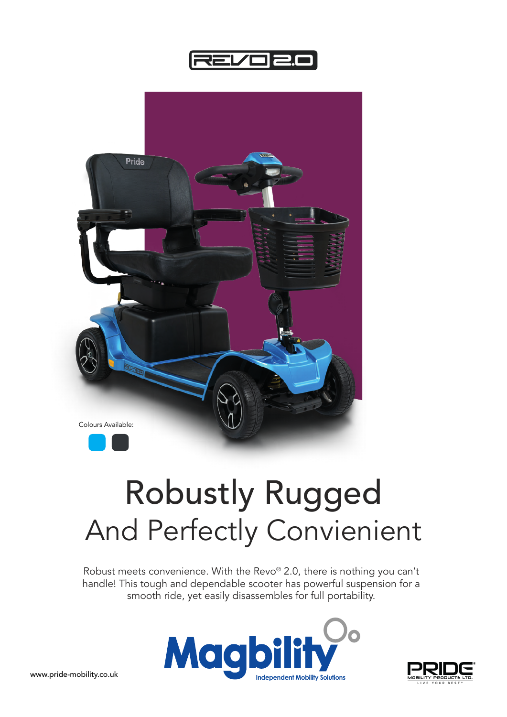



## Robustly Rugged And Perfectly Convienient

Robust meets convenience. With the Revo® 2.0, there is nothing you can't handle! This tough and dependable scooter has powerful suspension for a smooth ride, yet easily disassembles for full portability.





www.pride-mobility.co.uk